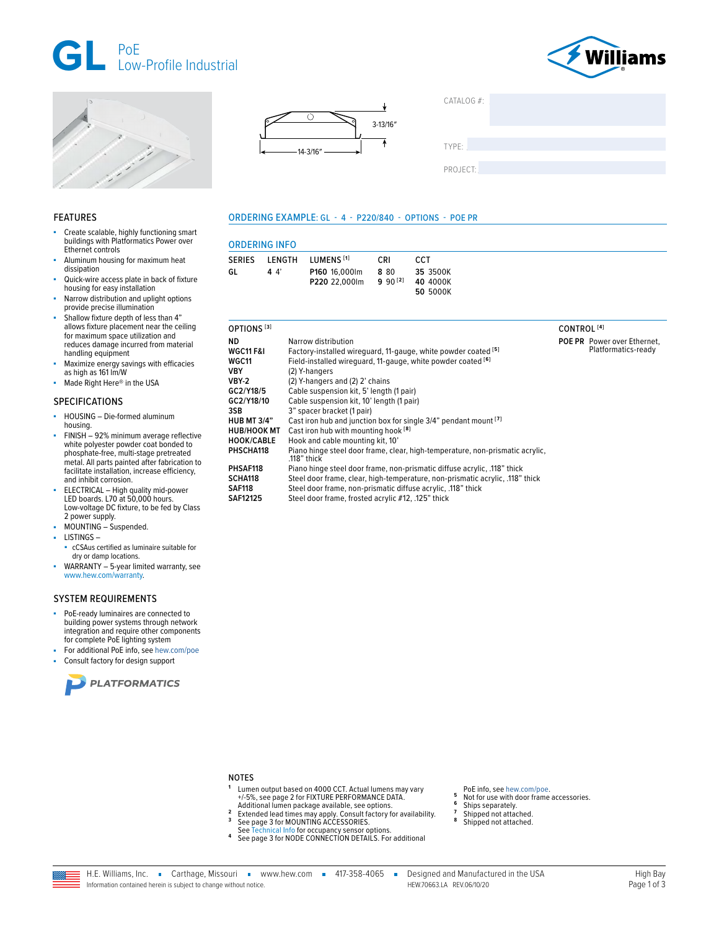



Platformatics-ready





LUMENS<sup>[1]</sup>

P160 16.000lm

P220 22,000lm

**ORDERING INFO** 

LENGTH

 $44$ 

**SERIES** 

GL

ORDERING EXAMPLE: GL - 4 - P220/840 - OPTIONS - POE PR

CRI

8 80

 $990^{[2]}$ 

**CCT** 

35 3500K

40 4000K

50 5000K

| CATALOG #: |  |  |
|------------|--|--|
|            |  |  |
|            |  |  |
| TYPE:      |  |  |
|            |  |  |
| PROJECT:   |  |  |
|            |  |  |

# **FEATURES**

- Create scalable, highly functioning smart buildings with Platformatics Power over Ethernet controls
- Aluminum housing for maximum heat dissipation
- Quick-wire access plate in back of fixture housing for easy installation
- Narrow distribution and uplight options<br>provide precise illumination Shallow fixture depth of less than 4"
- allows fixture placement near the ceiling for maximum space utilization and reduces damage incurred from material handling equipment
- Maximize energy savings with efficacies as high as 161 lm/W
- Made Right Here® in the USA

### **SPECIFICATIONS**

- HOUSING Die-formed aluminum à, housina.
- FINISH 92% minimum average reflective white polyester powder coat bonded to phosphate-free, multi-stage pretreated metal. All parts painted after fabrication to facilitate installation, increase efficiency, and inhibit corrosion.
- ELECTRICAL High quality mid-power LED boards. L70 at 50,000 hours. Low-voltage DC fixture, to be fed by Class 2 power supply.
- MOUNTING Suspended.
- **LISTINGS-**
- cCSAus certified as luminaire suitable for dry or damp locations.
- WARRANTY 5-year limited warranty, see ä, www.hew.com/warranty

## **SYSTEM REQUIREMENTS**

- PoE-ready luminaires are connected to building power systems through network integration and require other components for complete PoE lighting system
- For additional PoE info, see hew.com/poe Consult factory for design support





- PHSAF118 Piano hinge steel door frame, non-prismatic diffuse acrylic, .118" thick SCHA118 Steel door frame, clear, high-temperature, non-prismatic acrylic, .118" thick
- **SAF118** Steel door frame, non-prismatic diffuse acrylic, .118" thick
- **SAF12125** Steel door frame, frosted acrylic #12, .125" thick

- **NOTES**
- Lumen output based on 4000 CCT. Actual lumens may vary
- PoE info, see hew.com/poe.  $\mathbf{g}$ Not for use with door frame accessories.
- Ships separately.
- Shipped not attached. 8
- Shipped not attached
- Extended lead times may apply. Consult factory for availability.<br>See page 3 for MOUNTING ACCESSORIES.  $\overline{\mathbf{3}}$ See Technical Info for occupancy sensor options.<br>See page 3 for NODE CONNECTION DETAILS. For additional
- 

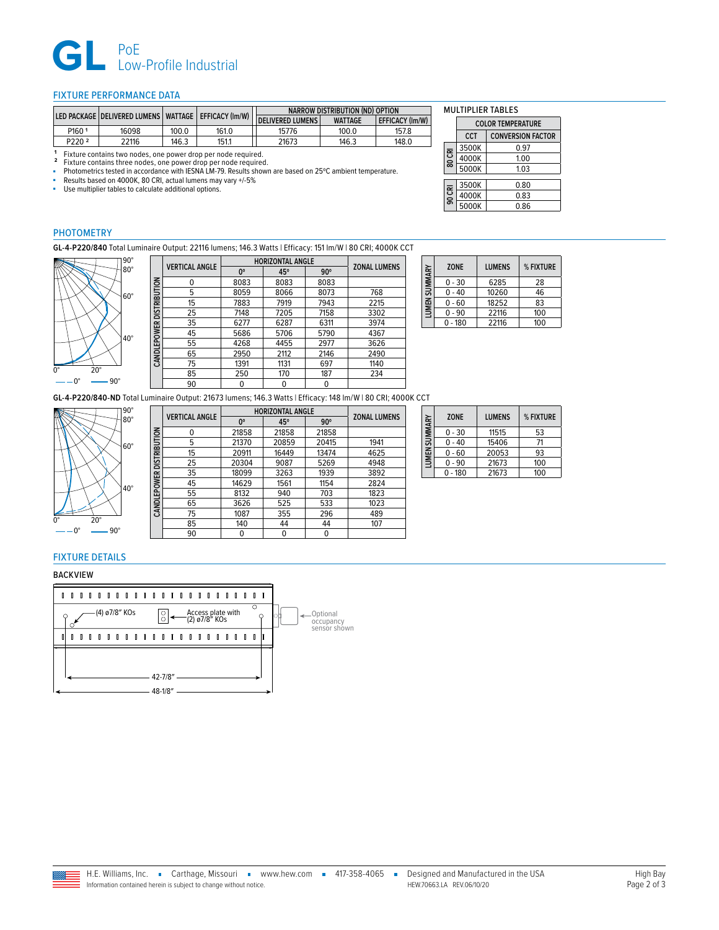

## <span id="page-1-0"></span>FIXTURE PERFORMANCE DATA

|                    | I LED PACKAGE   DELIVERED LUMENS   WATTAGE   EFFICACY (Im/W) |       |       | NARROW DISTRIBUTION (ND) OPTION |                |                        |
|--------------------|--------------------------------------------------------------|-------|-------|---------------------------------|----------------|------------------------|
|                    |                                                              |       |       | <b>DELIVERED LUMENS</b>         | <b>WATTAGE</b> | <b>EFFICACY (Im/W)</b> |
| P1601              | 16098                                                        | 100.0 | 161.0 | 15776                           | 100.0          | 157.8                  |
| P <sub>220</sub> 2 | 22116                                                        | 146.3 | 151.1 | 21673                           | 146.3          | 148.0                  |

1 Fixture contains two nodes, one power drop per node required.<br>2 Fixture contains three nodes, one power drop per node required.<br>• Photometrics tested in accordance with IESNA LM-79. Results shown are based on 25°C ambien

**B** Results based on 4000K, 80 CRI, actual lumens may vary +/-5%<br>
■ Use multiplier tables to calculate additional options.

CANDI FPOWER DISTRIBUTION

 $\overline{\phantom{0}}$ 

Use multiplier tables to calculate additional options.

|  | <b>MULTIPLIER TABLES</b> |
|--|--------------------------|
|--|--------------------------|

|  |        | <b>COLOR TEMPERATURE</b> |      |  |  |
|--|--------|--------------------------|------|--|--|
|  |        | <b>CONVERSION FACTOR</b> |      |  |  |
|  |        | 3500K                    | 0.97 |  |  |
|  | 80 CRI | 4000K                    | 1.00 |  |  |
|  |        | 5000K                    | 1.03 |  |  |
|  |        | 3500K                    | 0.80 |  |  |
|  | 90 CRI |                          |      |  |  |
|  |        | 4000K                    | 0.83 |  |  |
|  |        | 5000K                    | 0.86 |  |  |

# PHOTOMETRY

**GL-4-P220/840** Total Luminaire Output: 22116 lumens; 146.3 Watts | Efficacy: 151 lm/W | 80 CRI; 4000K CCT



|                          | <b>VERTICAL ANGLE</b> | <b>HORIZONTAL ANGLE</b> | <b>ZONAL LUMENS</b> |            |      |
|--------------------------|-----------------------|-------------------------|---------------------|------------|------|
|                          |                       | 0°                      | 45°                 | $90^\circ$ |      |
|                          | 0                     | 8083                    | 8083                | 8083       |      |
|                          | 5                     | 8059                    | 8066                | 8073       | 768  |
|                          | 15                    | 7883                    | 7919                | 7943       | 2215 |
| CANDLEPOWER DISTRIBUTION | 25                    | 7148                    | 7205                | 7158       | 3302 |
|                          | 35                    | 6277                    | 6287                | 6311       | 3974 |
|                          | 45                    | 5686                    | 5706                | 5790       | 4367 |
|                          | 55                    | 4268                    | 4455                | 2977       | 3626 |
|                          | 65                    | 2950                    | 2112                | 2146       | 2490 |
|                          | 75                    | 1391                    | 1131                | 697        | 1140 |
|                          | 85                    | 250                     | 170                 | 187        | 234  |
|                          | 90                    | 0                       | U                   | 0          |      |
|                          |                       |                         |                     |            |      |

| LUMEN SUMMARY | <b>ZONE</b> | <b>LUMENS</b> | % FIXTURE |
|---------------|-------------|---------------|-----------|
|               | $0 - 30$    | 6285          | 28        |
|               | $0 - 40$    | 10260         | 46        |
|               | $0 - 60$    | 18252         | 83        |
|               | $0 - 90$    | 22116         | 100       |
|               | - 180       | 22116         | 100       |

**GL-4-P220/840-ND** Total Luminaire Output: 21673 lumens; 146.3 Watts | Efficacy: 148 lm/W | 80 CRI; 4000K CCT



|                          | <b>VERTICAL ANGLE</b> | <b>HORIZONTAL ANGLE</b> | <b>ZONAL LUMENS</b> |            |      |
|--------------------------|-----------------------|-------------------------|---------------------|------------|------|
|                          |                       | $0^{\circ}$             | 45°                 | $90^\circ$ |      |
|                          | 0                     | 21858                   | 21858               | 21858      |      |
|                          | 5                     | 21370                   | 20859               | 20415      | 1941 |
| CANDLEPOWER DISTRIBUTION | 15                    | 20911                   | 16449               | 13474      | 4625 |
|                          | 25                    | 20304                   | 9087                | 5269       | 4948 |
|                          | 35                    | 18099                   | 3263                | 1939       | 3892 |
|                          | 45                    | 14629                   | 1561                | 1154       | 2824 |
|                          | 55                    | 8132                    | 940                 | 703        | 1823 |
|                          | 65                    | 3626                    | 525                 | 533        | 1023 |
|                          | 75                    | 1087                    | 355                 | 296        | 489  |
|                          | 85                    | 140                     | 44                  | 44         | 107  |
|                          | 90                    | 0                       | 0                   | 0          |      |
|                          |                       |                         |                     |            |      |

| LUMEN SUMMARY | <b>ZONE</b> | <b>LUMENS</b> | % FIXTURE |
|---------------|-------------|---------------|-----------|
|               | $0 - 30$    | 11515         | 53        |
|               | $0 - 40$    | 15406         | 71        |
|               | $0 - 60$    | 20053         | 93        |
|               | $0 - 90$    | 21673         | 100       |
|               | $-180$      | 21673         | 100       |

# FIXTURE DETAILS